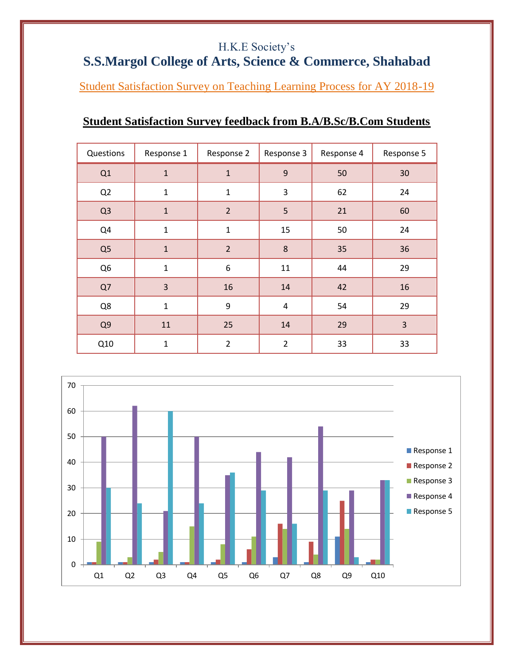## H.K.E Society's

## **S.S.Margol College of Arts, Science & Commerce, Shahabad**

Student Satisfaction Survey on Teaching Learning Process for AY 2018-19

## **Student Satisfaction Survey feedback from B.A/B.Sc/B.Com Students**

| Questions      | Response 1   | Response 2     | Response 3     | Response 4 | Response 5 |
|----------------|--------------|----------------|----------------|------------|------------|
| Q1             | $\mathbf{1}$ | $\mathbf{1}$   | 9              | 50         | 30         |
| Q2             | $\mathbf{1}$ | $\mathbf{1}$   | 3              | 62         | 24         |
| Q <sub>3</sub> | $\mathbf{1}$ | $\overline{2}$ | 5              | 21         | 60         |
| Q4             | $\mathbf{1}$ | $\mathbf 1$    | 15             | 50         | 24         |
| Q <sub>5</sub> | $\mathbf{1}$ | $\overline{2}$ | 8              | 35         | 36         |
| Q <sub>6</sub> | $\mathbf{1}$ | 6              | 11             | 44         | 29         |
| Q7             | 3            | 16             | 14             | 42         | 16         |
| Q8             | $\mathbf{1}$ | 9              | 4              | 54         | 29         |
| Q <sub>9</sub> | 11           | 25             | 14             | 29         | 3          |
| Q10            | $\mathbf{1}$ | $\overline{2}$ | $\overline{2}$ | 33         | 33         |

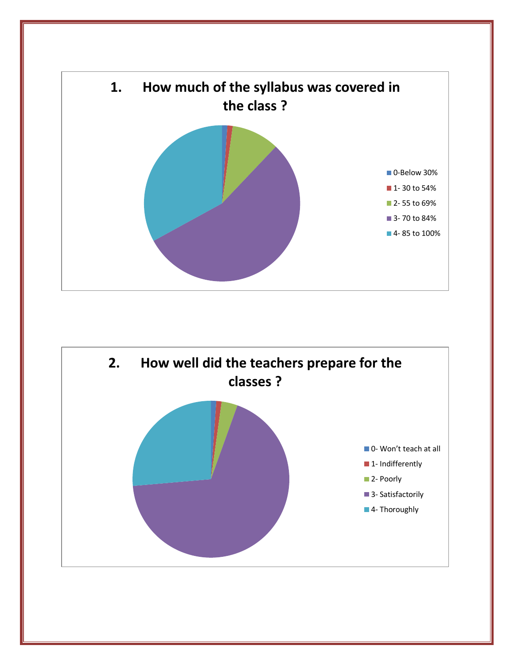

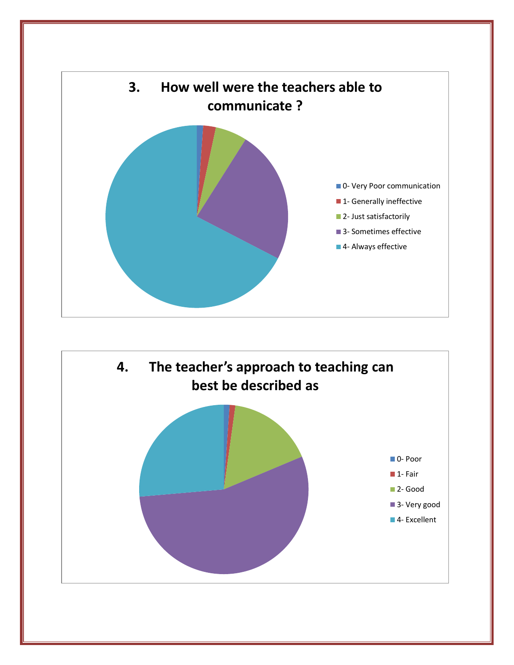

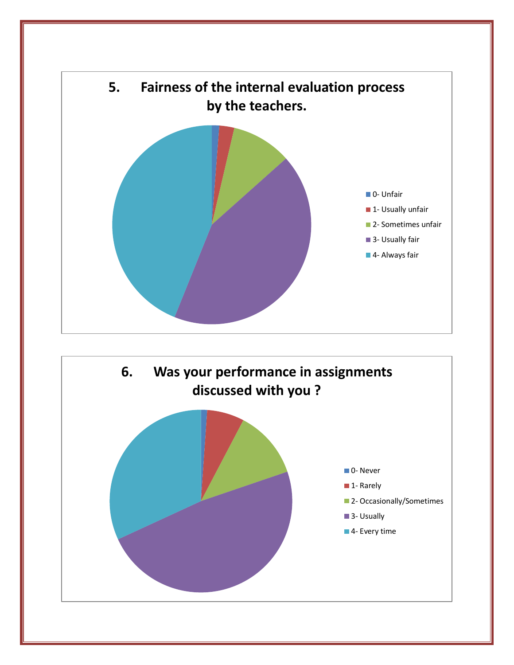

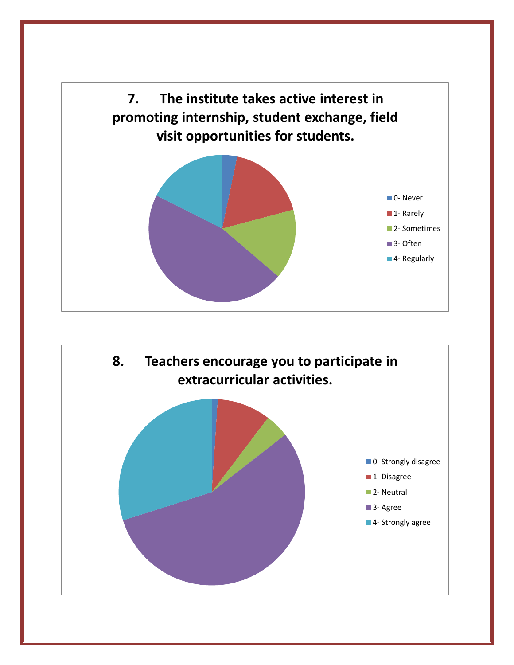